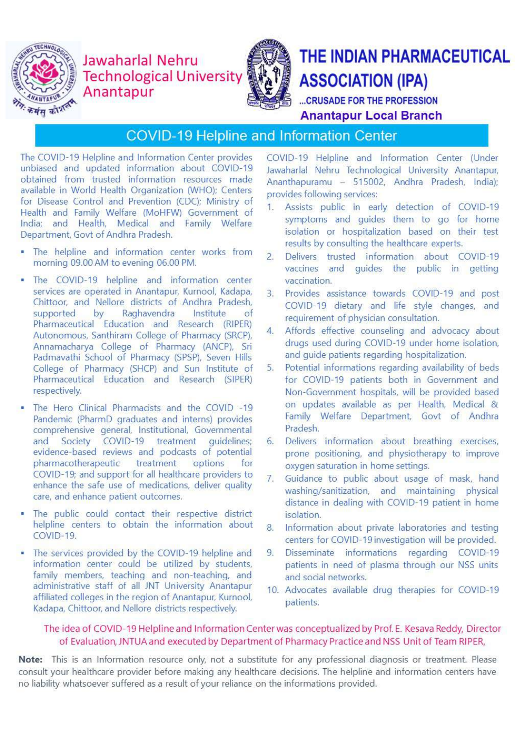

# Jawaharlal Nehru **Technological University** Anantapur



# THE INDIAN PHARMACEUTICAL **ASSOCIATION (IPA)**

... CRUSADE FOR THE PROFESSION **Anantapur Local Branch** 

# **COVID-19 Helpline and Information Center**

The COVID-19 Helpline and Information Center provides unbiased and updated information about COVID-19 obtained from trusted information resources made available in World Health Organization (WHO); Centers for Disease Control and Prevention (CDC); Ministry of Health and Family Welfare (MoHFW) Government of India; and Health, Medical and Family Welfare Department, Govt of Andhra Pradesh.

- . The helpline and information center works from morning 09.00 AM to evening 06.00 PM.
- . The COVID-19 helpline and information center services are operated in Anantapur, Kurnool, Kadapa, Chittoor, and Nellore districts of Andhra Pradesh, Raghavendra supported Institute by  $\circ$ f Pharmaceutical Education and Research (RIPER) Autonomous, Santhiram College of Pharmacy (SRCP), Annamacharya College of Pharmacy (ANCP), Sri Padmavathi School of Pharmacy (SPSP), Seven Hills College of Pharmacy (SHCP) and Sun Institute of Pharmaceutical Education and Research (SIPER) respectively.
- The Hero Clinical Pharmacists and the COVID -19 Pandemic (PharmD graduates and interns) provides comprehensive general, Institutional, Governmental and Society COVID-19 treatment guidelines;<br>evidence-based reviews and podcasts of potential pharmacotherapeutic treatment options  $for$ COVID-19: and support for all healthcare providers to enhance the safe use of medications, deliver quality care, and enhance patient outcomes.
- The public could contact their respective district helpline centers to obtain the information about COVID-19.
- The services provided by the COVID-19 helpline and information center could be utilized by students, family members, teaching and non-teaching, and administrative staff of all JNT University Anantapur affiliated colleges in the region of Anantapur, Kurnool, Kadapa, Chittoor, and Nellore districts respectively.

COVID-19 Helpline and Information Center (Under Jawaharlal Nehru Technological University Anantapur, Ananthapuramu - 515002, Andhra Pradesh, India); provides following services:

- Assists public in early detection of COVID-19  $1.$ symptoms and guides them to go for home isolation or hospitalization based on their test results by consulting the healthcare experts.
- Delivers trusted information about COVID-19  $\overline{2}$ vaccines and quides the public in getting vaccination.
- Provides assistance towards COVID-19 and post  $\overline{3}$ COVID-19 dietary and life style changes, and requirement of physician consultation.
- Affords effective counseling and advocacy about  $\overline{4}$ drugs used during COVID-19 under home isolation, and quide patients regarding hospitalization.
- Potential informations regarding availability of beds 5. for COVID-19 patients both in Government and Non-Government hospitals, will be provided based on updates available as per Health, Medical & Family Welfare Department, Govt of Andhra Pradesh.
- Delivers information about breathing exercises. 6. prone positioning, and physiotherapy to improve oxygen saturation in home settings.
- Guidance to public about usage of mask, hand 7. washing/sanitization, and maintaining physical distance in dealing with COVID-19 patient in home isolation.
- Information about private laboratories and testing  $\mathbf{R}$ centers for COVID-19 investigation will be provided.
- Disseminate informations regarding COVID-19 9. patients in need of plasma through our NSS units and social networks.
- 10. Advocates available drug therapies for COVID-19 patients.

## The idea of COVID-19 Helpline and Information Center was conceptualized by Prof. E. Kesava Reddy, Director of Evaluation, JNTUA and executed by Department of Pharmacy Practice and NSS Unit of Team RIPER.

Note: This is an Information resource only, not a substitute for any professional diagnosis or treatment. Please consult your healthcare provider before making any healthcare decisions. The helpline and information centers have no liability whatsoever suffered as a result of your reliance on the informations provided.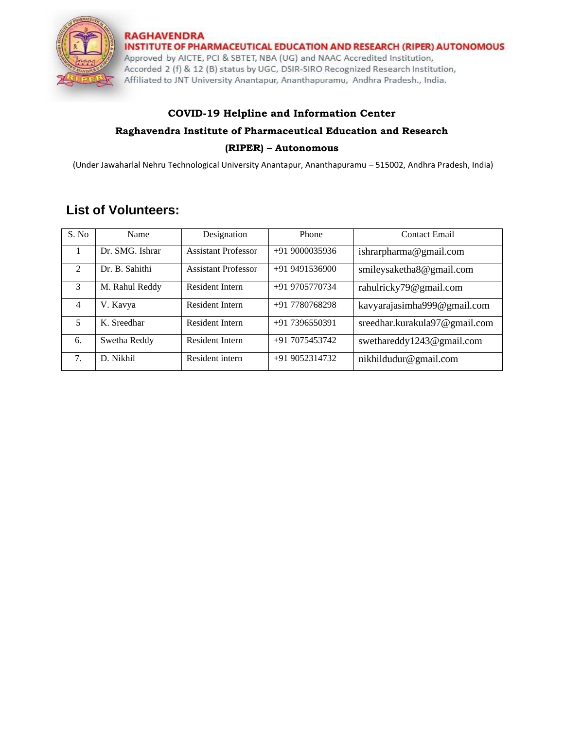

**RAGHAVENDRA** INSTITUTE OF PHARMACEUTICAL EDUCATION AND RESEARCH (RIPER) AUTONOMOUS

Approved by AICTE, PCI & SBTET, NBA (UG) and NAAC Accredited Institution, Accorded 2 (f) & 12 (B) status by UGC, DSIR-SIRO Recognized Research Institution, Affiliated to JNT University Anantapur, Ananthapuramu, Andhra Pradesh., India.

#### **COVID-19 Helpline and Information Center**

# **Raghavendra Institute of Pharmaceutical Education and Research**

#### **(RIPER) – Autonomous**

(Under Jawaharlal Nehru Technological University Anantapur, Ananthapuramu – 515002, Andhra Pradesh, India)

## **List of Volunteers:**

| S. No          | Name            | Designation                | Phone            | <b>Contact Email</b>          |
|----------------|-----------------|----------------------------|------------------|-------------------------------|
|                | Dr. SMG. Ishrar | <b>Assistant Professor</b> | $+919000035936$  | ishrarpharma@gmail.com        |
| $\mathfrak{D}$ | Dr. B. Sahithi  | <b>Assistant Professor</b> | $+919491536900$  | smileysaketha8@gmail.com      |
| $\mathcal{F}$  | M. Rahul Reddy  | Resident Intern            | +91 9705770734   | rahulricky79@gmail.com        |
| $\overline{4}$ | V. Kavya        | Resident Intern            | +91 7780768298   | kavyarajasimha999@gmail.com   |
| 5              | K. Sreedhar     | <b>Resident Intern</b>     | +91 7396550391   | sreedhar.kurakula97@gmail.com |
| 6.             | Swetha Reddy    | <b>Resident Intern</b>     | +91 7075453742   | swethareddy1243@gmail.com     |
| 7.             | D. Nikhil       | Resident intern            | $+91$ 9052314732 | nikhildudur@gmail.com         |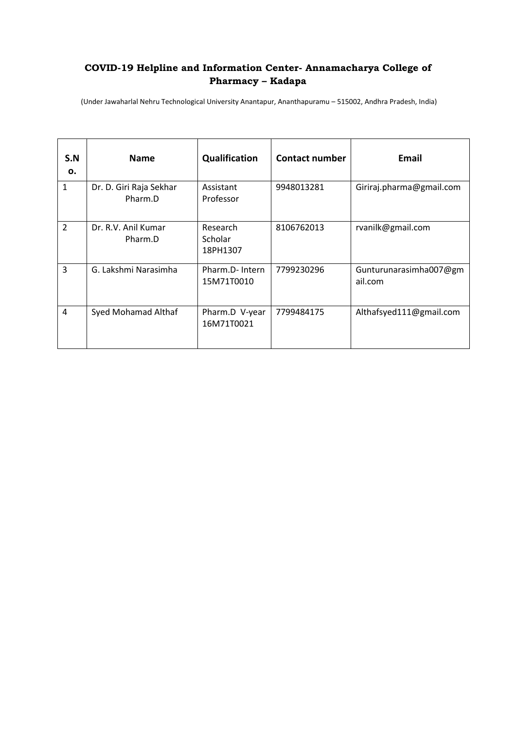## **COVID-19 Helpline and Information Center- Annamacharya College of Pharmacy – Kadapa**

(Under Jawaharlal Nehru Technological University Anantapur, Ananthapuramu – 515002, Andhra Pradesh, India)

| S.N<br>о.      | <b>Name</b>                        | Qualification                   | <b>Contact number</b> | <b>Email</b>                      |
|----------------|------------------------------------|---------------------------------|-----------------------|-----------------------------------|
| $\mathbf{1}$   | Dr. D. Giri Raja Sekhar<br>Pharm.D | Assistant<br>Professor          | 9948013281            | Giriraj.pharma@gmail.com          |
| $\overline{2}$ | Dr. R.V. Anil Kumar<br>Pharm.D     | Research<br>Scholar<br>18PH1307 | 8106762013            | rvanilk@gmail.com                 |
| 3              | G. Lakshmi Narasimha               | Pharm.D-Intern<br>15M71T0010    | 7799230296            | Gunturunarasimha007@gm<br>ail.com |
| 4              | Syed Mohamad Althaf                | Pharm.D V-year<br>16M71T0021    | 7799484175            | Althafsyed111@gmail.com           |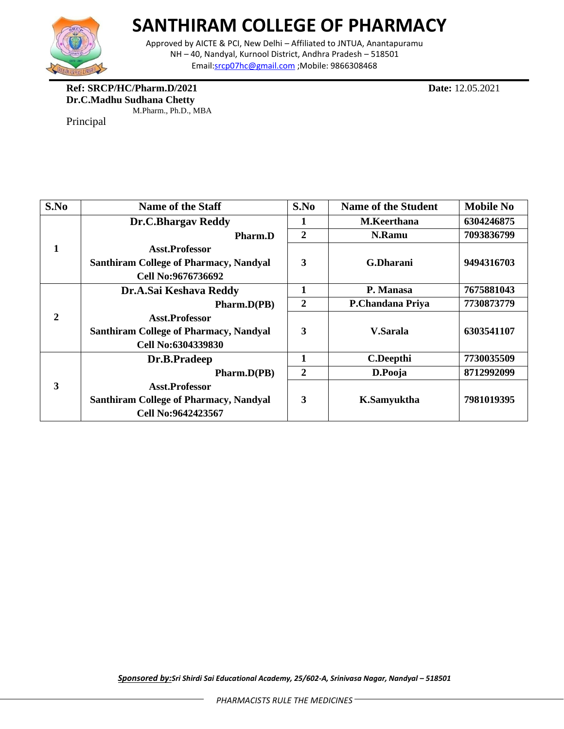

# **SANTHIRAM COLLEGE OF PHARMACY**

Approved by AICTE & PCI, New Delhi – Affiliated to JNTUA, Anantapuramu NH – 40, Nandyal, Kurnool District, Andhra Pradesh – 518501 Email[:srcp07hc@gmail.com](mailto:srcp07hc@gmail.com) ;Mobile: 9866308468

#### **Ref: SRCP/HC/Pharm.D/2021 Date:** 12.05.2021 **Dr.C.Madhu Sudhana Chetty**

M.Pharm., Ph.D., MBA

Principal

**S.No Name of the Staff S.No Name of the Student Mobile No 1 Dr.C.Bhargav Reddy Pharm.D Asst.Professor Santhiram College of Pharmacy, Nandyal Cell No:9676736692 1 M.Keerthana 6304246875 2 N.Ramu 7093836799 3 G.Dharani 9494316703 2 Dr.A.Sai Keshava Reddy Pharm.D(PB) Asst.Professor Santhiram College of Pharmacy, Nandyal Cell No:6304339830 1 P. Manasa 7675881043 2 P.Chandana Priya 7730873779 3 V.Sarala 6303541107 3 Dr.B.Pradeep Pharm.D(PB) Asst.Professor Santhiram College of Pharmacy, Nandyal Cell No:9642423567 1 C.Deepthi 7730035509 2 D.Pooja 8712992099 3 K.Samyuktha 7981019395**

**Sponsored by:***Sri Shirdi Sai Educational Academy, 25/602-A, Srinivasa Nagar, Nandyal* - 518501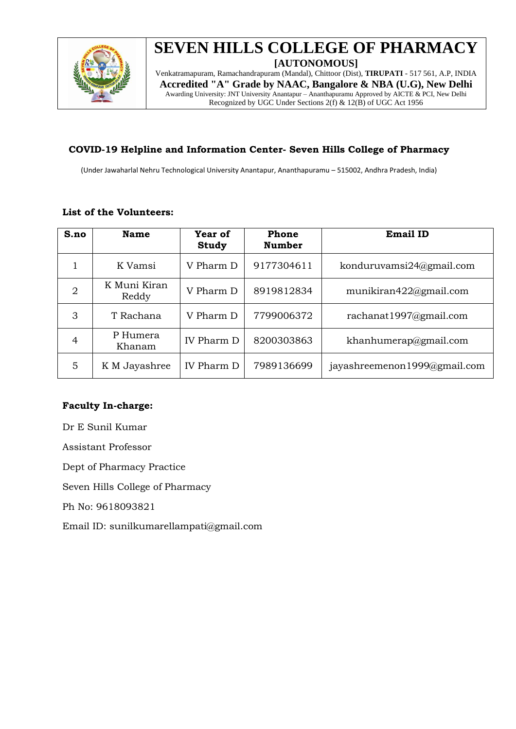

# **SEVEN HILLS COLLEGE OF PHARMACY**

**[AUTONOMOUS]**

Venkatramapuram, Ramachandrapuram (Mandal), Chittoor (Dist), **TIRUPATI** - 517 561, A.P, INDIA **Accredited "A" Grade by NAAC, Bangalore & NBA (U.G), New Delhi** Awarding University: JNT University Anantapur – Ananthapuramu Approved by AICTE & PCI, New Delhi Recognized by UGC Under Sections  $2(f)$  &  $12(B)$  of UGC Act 1956

### **COVID-19 Helpline and Information Center- Seven Hills College of Pharmacy**

(Under Jawaharlal Nehru Technological University Anantapur, Ananthapuramu – 515002, Andhra Pradesh, India)

#### **List of the Volunteers:**

| S.no           | <b>Name</b>           | Year of<br><b>Study</b> | <b>Phone</b><br><b>Number</b> | <b>Email ID</b>              |
|----------------|-----------------------|-------------------------|-------------------------------|------------------------------|
|                | K Vamsi               | V Pharm D               | 9177304611                    | konduruvamsi $24$ @gmail.com |
| $\overline{2}$ | K Muni Kiran<br>Reddy | V Pharm D               | 8919812834                    | munikiran422@gmail.com       |
| 3              | T Rachana             | V Pharm D               | 7799006372                    | rachanat1997@gmail.com       |
| $\overline{4}$ | P Humera<br>Khanam    | IV Pharm D              | 8200303863                    | khanhumerap@gmail.com        |
| 5              | K M Jayashree         | IV Pharm D              | 7989136699                    | jayashreemenon1999@gmail.com |

### **Faculty In-charge:**

Dr E Sunil Kumar Assistant Professor Dept of Pharmacy Practice Seven Hills College of Pharmacy Ph No: 9618093821 Email ID: sunilkumarellampati@gmail.com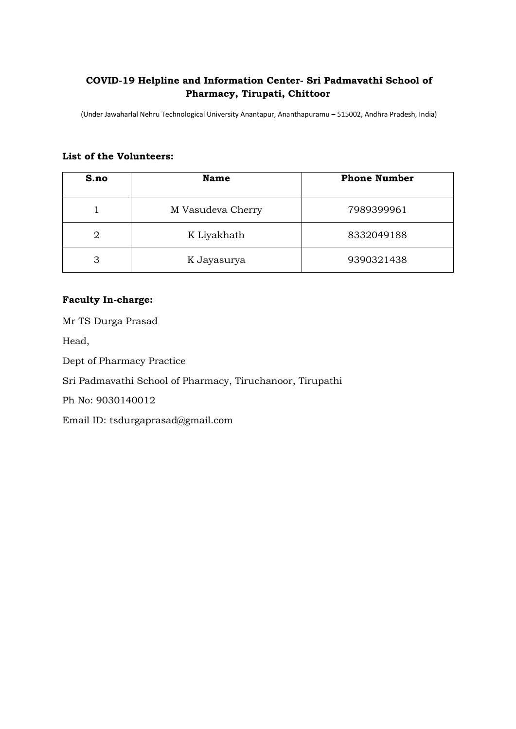### **COVID-19 Helpline and Information Center- Sri Padmavathi School of Pharmacy, Tirupati, Chittoor**

(Under Jawaharlal Nehru Technological University Anantapur, Ananthapuramu – 515002, Andhra Pradesh, India)

#### **List of the Volunteers:**

| S.no           | <b>Name</b>       | <b>Phone Number</b> |
|----------------|-------------------|---------------------|
|                | M Vasudeva Cherry | 7989399961          |
| $\overline{2}$ | K Liyakhath       | 8332049188          |
| 3              | K Jayasurya       | 9390321438          |

#### **Faculty In-charge:**

Mr TS Durga Prasad

Head,

Dept of Pharmacy Practice

Sri Padmavathi School of Pharmacy, Tiruchanoor, Tirupathi

Ph No: 9030140012

Email ID: tsdurgaprasad@gmail.com